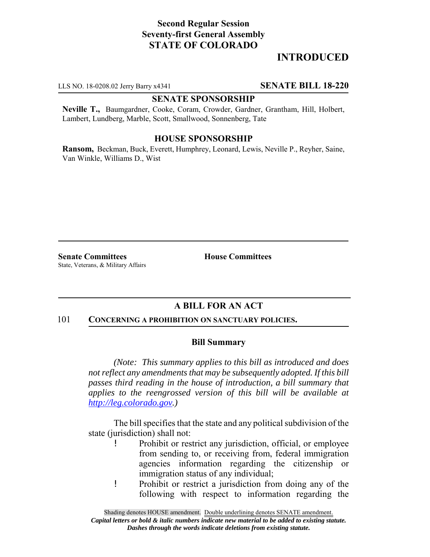# **Second Regular Session Seventy-first General Assembly STATE OF COLORADO**

# **INTRODUCED**

LLS NO. 18-0208.02 Jerry Barry x4341 **SENATE BILL 18-220**

## **SENATE SPONSORSHIP**

**Neville T.,** Baumgardner, Cooke, Coram, Crowder, Gardner, Grantham, Hill, Holbert, Lambert, Lundberg, Marble, Scott, Smallwood, Sonnenberg, Tate

### **HOUSE SPONSORSHIP**

**Ransom,** Beckman, Buck, Everett, Humphrey, Leonard, Lewis, Neville P., Reyher, Saine, Van Winkle, Williams D., Wist

**Senate Committees House Committees** State, Veterans, & Military Affairs

## **A BILL FOR AN ACT**

#### 101 **CONCERNING A PROHIBITION ON SANCTUARY POLICIES.**

#### **Bill Summary**

*(Note: This summary applies to this bill as introduced and does not reflect any amendments that may be subsequently adopted. If this bill passes third reading in the house of introduction, a bill summary that applies to the reengrossed version of this bill will be available at http://leg.colorado.gov.)*

The bill specifies that the state and any political subdivision of the state (jurisdiction) shall not:

- ! Prohibit or restrict any jurisdiction, official, or employee from sending to, or receiving from, federal immigration agencies information regarding the citizenship or immigration status of any individual;
- ! Prohibit or restrict a jurisdiction from doing any of the following with respect to information regarding the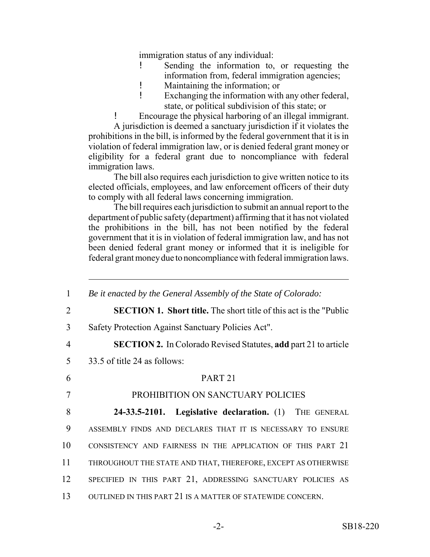immigration status of any individual:

- ! Sending the information to, or requesting the information from, federal immigration agencies;
- ! Maintaining the information; or
- ! Exchanging the information with any other federal, state, or political subdivision of this state; or
- ! Encourage the physical harboring of an illegal immigrant.

A jurisdiction is deemed a sanctuary jurisdiction if it violates the prohibitions in the bill, is informed by the federal government that it is in violation of federal immigration law, or is denied federal grant money or eligibility for a federal grant due to noncompliance with federal immigration laws.

The bill also requires each jurisdiction to give written notice to its elected officials, employees, and law enforcement officers of their duty to comply with all federal laws concerning immigration.

The bill requires each jurisdiction to submit an annual report to the department of public safety (department) affirming that it has not violated the prohibitions in the bill, has not been notified by the federal government that it is in violation of federal immigration law, and has not been denied federal grant money or informed that it is ineligible for federal grant money due to noncompliance with federal immigration laws.

| $\mathbf{1}$   | Be it enacted by the General Assembly of the State of Colorado:            |
|----------------|----------------------------------------------------------------------------|
| 2              | <b>SECTION 1. Short title.</b> The short title of this act is the "Public" |
| 3              | Safety Protection Against Sanctuary Policies Act".                         |
| $\overline{4}$ | <b>SECTION 2.</b> In Colorado Revised Statutes, add part 21 to article     |
| 5              | 33.5 of title 24 as follows:                                               |
| 6              | PART <sub>21</sub>                                                         |
| 7              | PROHIBITION ON SANCTUARY POLICIES                                          |
| 8              | 24-33.5-2101. Legislative declaration. (1) THE GENERAL                     |
| 9              | ASSEMBLY FINDS AND DECLARES THAT IT IS NECESSARY TO ENSURE                 |
| 10             | CONSISTENCY AND FAIRNESS IN THE APPLICATION OF THIS PART 21                |
| 11             | THROUGHOUT THE STATE AND THAT, THEREFORE, EXCEPT AS OTHERWISE              |
| 12             | SPECIFIED IN THIS PART 21, ADDRESSING SANCTUARY POLICIES AS                |
| 13             | OUTLINED IN THIS PART 21 IS A MATTER OF STATEWIDE CONCERN.                 |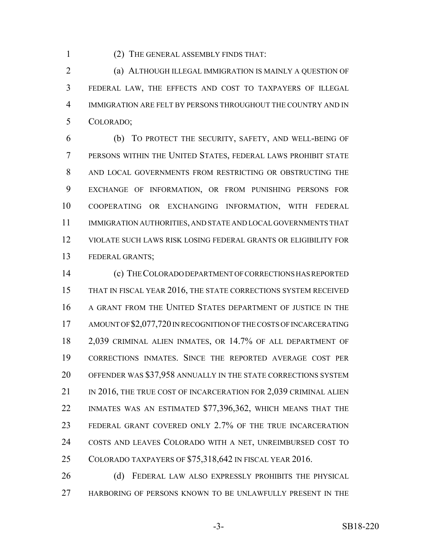(2) THE GENERAL ASSEMBLY FINDS THAT:

 (a) ALTHOUGH ILLEGAL IMMIGRATION IS MAINLY A QUESTION OF FEDERAL LAW, THE EFFECTS AND COST TO TAXPAYERS OF ILLEGAL IMMIGRATION ARE FELT BY PERSONS THROUGHOUT THE COUNTRY AND IN COLORADO;

 (b) TO PROTECT THE SECURITY, SAFETY, AND WELL-BEING OF PERSONS WITHIN THE UNITED STATES, FEDERAL LAWS PROHIBIT STATE 8 AND LOCAL GOVERNMENTS FROM RESTRICTING OR OBSTRUCTING THE EXCHANGE OF INFORMATION, OR FROM PUNISHING PERSONS FOR COOPERATING OR EXCHANGING INFORMATION, WITH FEDERAL IMMIGRATION AUTHORITIES, AND STATE AND LOCAL GOVERNMENTS THAT VIOLATE SUCH LAWS RISK LOSING FEDERAL GRANTS OR ELIGIBILITY FOR FEDERAL GRANTS;

 (c) THE COLORADO DEPARTMENT OF CORRECTIONS HAS REPORTED THAT IN FISCAL YEAR 2016, THE STATE CORRECTIONS SYSTEM RECEIVED A GRANT FROM THE UNITED STATES DEPARTMENT OF JUSTICE IN THE 17 AMOUNT OF \$2,077,720 IN RECOGNITION OF THE COSTS OF INCARCERATING 2,039 CRIMINAL ALIEN INMATES, OR 14.7% OF ALL DEPARTMENT OF CORRECTIONS INMATES. SINCE THE REPORTED AVERAGE COST PER OFFENDER WAS \$37,958 ANNUALLY IN THE STATE CORRECTIONS SYSTEM 21 IN 2016, THE TRUE COST OF INCARCERATION FOR 2,039 CRIMINAL ALIEN INMATES WAS AN ESTIMATED \$77,396,362, WHICH MEANS THAT THE FEDERAL GRANT COVERED ONLY 2.7% OF THE TRUE INCARCERATION COSTS AND LEAVES COLORADO WITH A NET, UNREIMBURSED COST TO COLORADO TAXPAYERS OF \$75,318,642 IN FISCAL YEAR 2016.

26 (d) FEDERAL LAW ALSO EXPRESSLY PROHIBITS THE PHYSICAL HARBORING OF PERSONS KNOWN TO BE UNLAWFULLY PRESENT IN THE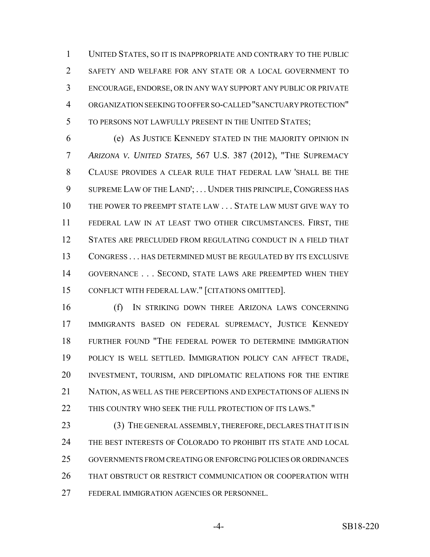UNITED STATES, SO IT IS INAPPROPRIATE AND CONTRARY TO THE PUBLIC SAFETY AND WELFARE FOR ANY STATE OR A LOCAL GOVERNMENT TO ENCOURAGE, ENDORSE, OR IN ANY WAY SUPPORT ANY PUBLIC OR PRIVATE ORGANIZATION SEEKING TO OFFER SO-CALLED "SANCTUARY PROTECTION" TO PERSONS NOT LAWFULLY PRESENT IN THE UNITED STATES;

 (e) AS JUSTICE KENNEDY STATED IN THE MAJORITY OPINION IN *ARIZONA V. UNITED STATES,* 567 U.S. 387 (2012), "THE SUPREMACY CLAUSE PROVIDES A CLEAR RULE THAT FEDERAL LAW 'SHALL BE THE 9 SUPREME LAW OF THE LAND';... UNDER THIS PRINCIPLE, CONGRESS HAS THE POWER TO PREEMPT STATE LAW . . . STATE LAW MUST GIVE WAY TO FEDERAL LAW IN AT LEAST TWO OTHER CIRCUMSTANCES. FIRST, THE STATES ARE PRECLUDED FROM REGULATING CONDUCT IN A FIELD THAT CONGRESS . . . HAS DETERMINED MUST BE REGULATED BY ITS EXCLUSIVE 14 GOVERNANCE . . . SECOND, STATE LAWS ARE PREEMPTED WHEN THEY CONFLICT WITH FEDERAL LAW." [CITATIONS OMITTED].

 (f) IN STRIKING DOWN THREE ARIZONA LAWS CONCERNING IMMIGRANTS BASED ON FEDERAL SUPREMACY, JUSTICE KENNEDY FURTHER FOUND "THE FEDERAL POWER TO DETERMINE IMMIGRATION POLICY IS WELL SETTLED. IMMIGRATION POLICY CAN AFFECT TRADE, INVESTMENT, TOURISM, AND DIPLOMATIC RELATIONS FOR THE ENTIRE NATION, AS WELL AS THE PERCEPTIONS AND EXPECTATIONS OF ALIENS IN 22 THIS COUNTRY WHO SEEK THE FULL PROTECTION OF ITS LAWS."

23 (3) THE GENERAL ASSEMBLY, THEREFORE, DECLARES THAT IT IS IN THE BEST INTERESTS OF COLORADO TO PROHIBIT ITS STATE AND LOCAL GOVERNMENTS FROM CREATING OR ENFORCING POLICIES OR ORDINANCES THAT OBSTRUCT OR RESTRICT COMMUNICATION OR COOPERATION WITH FEDERAL IMMIGRATION AGENCIES OR PERSONNEL.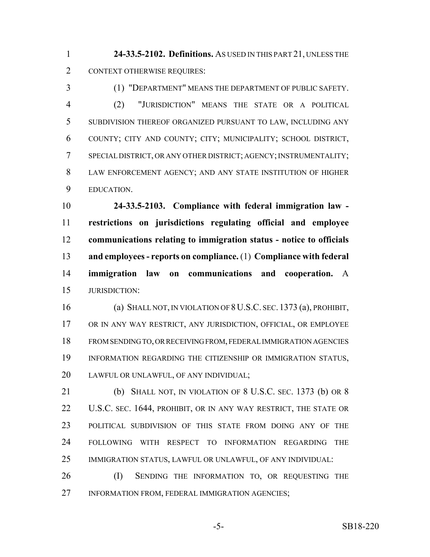**24-33.5-2102. Definitions.** AS USED IN THIS PART 21, UNLESS THE CONTEXT OTHERWISE REQUIRES:

 (1) "DEPARTMENT" MEANS THE DEPARTMENT OF PUBLIC SAFETY. (2) "JURISDICTION" MEANS THE STATE OR A POLITICAL SUBDIVISION THEREOF ORGANIZED PURSUANT TO LAW, INCLUDING ANY COUNTY; CITY AND COUNTY; CITY; MUNICIPALITY; SCHOOL DISTRICT, SPECIAL DISTRICT, OR ANY OTHER DISTRICT; AGENCY; INSTRUMENTALITY; LAW ENFORCEMENT AGENCY; AND ANY STATE INSTITUTION OF HIGHER EDUCATION.

 **24-33.5-2103. Compliance with federal immigration law - restrictions on jurisdictions regulating official and employee communications relating to immigration status - notice to officials and employees - reports on compliance.** (1) **Compliance with federal immigration law on communications and cooperation.** A JURISDICTION:

 (a) SHALL NOT, IN VIOLATION OF 8U.S.C. SEC. 1373 (a), PROHIBIT, OR IN ANY WAY RESTRICT, ANY JURISDICTION, OFFICIAL, OR EMPLOYEE FROM SENDING TO, OR RECEIVING FROM, FEDERAL IMMIGRATION AGENCIES INFORMATION REGARDING THE CITIZENSHIP OR IMMIGRATION STATUS, LAWFUL OR UNLAWFUL, OF ANY INDIVIDUAL;

 (b) SHALL NOT, IN VIOLATION OF 8 U.S.C. SEC. 1373 (b) OR 8 22 U.S.C. SEC. 1644, PROHIBIT, OR IN ANY WAY RESTRICT, THE STATE OR POLITICAL SUBDIVISION OF THIS STATE FROM DOING ANY OF THE FOLLOWING WITH RESPECT TO INFORMATION REGARDING THE IMMIGRATION STATUS, LAWFUL OR UNLAWFUL, OF ANY INDIVIDUAL:

 (I) SENDING THE INFORMATION TO, OR REQUESTING THE INFORMATION FROM, FEDERAL IMMIGRATION AGENCIES;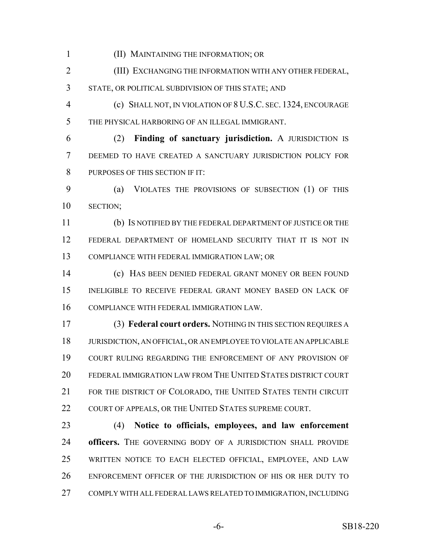(II) MAINTAINING THE INFORMATION; OR

 (III) EXCHANGING THE INFORMATION WITH ANY OTHER FEDERAL, STATE, OR POLITICAL SUBDIVISION OF THIS STATE; AND

 (c) SHALL NOT, IN VIOLATION OF 8 U.S.C. SEC. 1324, ENCOURAGE THE PHYSICAL HARBORING OF AN ILLEGAL IMMIGRANT.

 (2) **Finding of sanctuary jurisdiction.** A JURISDICTION IS DEEMED TO HAVE CREATED A SANCTUARY JURISDICTION POLICY FOR PURPOSES OF THIS SECTION IF IT:

 (a) VIOLATES THE PROVISIONS OF SUBSECTION (1) OF THIS SECTION;

 (b) IS NOTIFIED BY THE FEDERAL DEPARTMENT OF JUSTICE OR THE FEDERAL DEPARTMENT OF HOMELAND SECURITY THAT IT IS NOT IN COMPLIANCE WITH FEDERAL IMMIGRATION LAW; OR

 (c) HAS BEEN DENIED FEDERAL GRANT MONEY OR BEEN FOUND INELIGIBLE TO RECEIVE FEDERAL GRANT MONEY BASED ON LACK OF COMPLIANCE WITH FEDERAL IMMIGRATION LAW.

 (3) **Federal court orders.** NOTHING IN THIS SECTION REQUIRES A JURISDICTION, AN OFFICIAL, OR AN EMPLOYEE TO VIOLATE AN APPLICABLE COURT RULING REGARDING THE ENFORCEMENT OF ANY PROVISION OF FEDERAL IMMIGRATION LAW FROM THE UNITED STATES DISTRICT COURT FOR THE DISTRICT OF COLORADO, THE UNITED STATES TENTH CIRCUIT 22 COURT OF APPEALS, OR THE UNITED STATES SUPREME COURT.

 (4) **Notice to officials, employees, and law enforcement officers.** THE GOVERNING BODY OF A JURISDICTION SHALL PROVIDE WRITTEN NOTICE TO EACH ELECTED OFFICIAL, EMPLOYEE, AND LAW ENFORCEMENT OFFICER OF THE JURISDICTION OF HIS OR HER DUTY TO COMPLY WITH ALL FEDERAL LAWS RELATED TO IMMIGRATION, INCLUDING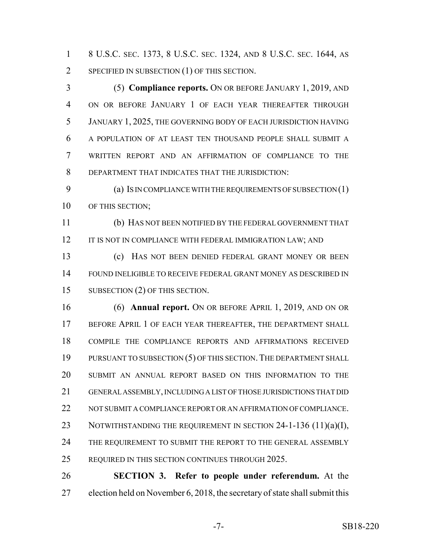8 U.S.C. SEC. 1373, 8 U.S.C. SEC. 1324, AND 8 U.S.C. SEC. 1644, AS SPECIFIED IN SUBSECTION (1) OF THIS SECTION.

 (5) **Compliance reports.** ON OR BEFORE JANUARY 1, 2019, AND ON OR BEFORE JANUARY 1 OF EACH YEAR THEREAFTER THROUGH JANUARY 1, 2025, THE GOVERNING BODY OF EACH JURISDICTION HAVING A POPULATION OF AT LEAST TEN THOUSAND PEOPLE SHALL SUBMIT A WRITTEN REPORT AND AN AFFIRMATION OF COMPLIANCE TO THE DEPARTMENT THAT INDICATES THAT THE JURISDICTION:

9 (a) IS IN COMPLIANCE WITH THE REQUIREMENTS OF SUBSECTION (1) 10 OF THIS SECTION;

 (b) HAS NOT BEEN NOTIFIED BY THE FEDERAL GOVERNMENT THAT 12 IT IS NOT IN COMPLIANCE WITH FEDERAL IMMIGRATION LAW; AND

 (c) HAS NOT BEEN DENIED FEDERAL GRANT MONEY OR BEEN FOUND INELIGIBLE TO RECEIVE FEDERAL GRANT MONEY AS DESCRIBED IN 15 SUBSECTION (2) OF THIS SECTION.

 (6) **Annual report.** ON OR BEFORE APRIL 1, 2019, AND ON OR BEFORE APRIL 1 OF EACH YEAR THEREAFTER, THE DEPARTMENT SHALL COMPILE THE COMPLIANCE REPORTS AND AFFIRMATIONS RECEIVED 19 PURSUANT TO SUBSECTION (5) OF THIS SECTION. THE DEPARTMENT SHALL SUBMIT AN ANNUAL REPORT BASED ON THIS INFORMATION TO THE GENERAL ASSEMBLY, INCLUDING A LIST OF THOSE JURISDICTIONS THAT DID 22 NOT SUBMIT A COMPLIANCE REPORT OR AN AFFIRMATION OF COMPLIANCE. 23 NOTWITHSTANDING THE REQUIREMENT IN SECTION 24-1-136 (11)(a)(I), 24 THE REQUIREMENT TO SUBMIT THE REPORT TO THE GENERAL ASSEMBLY REQUIRED IN THIS SECTION CONTINUES THROUGH 2025.

 **SECTION 3. Refer to people under referendum.** At the election held on November 6, 2018, the secretary of state shall submit this